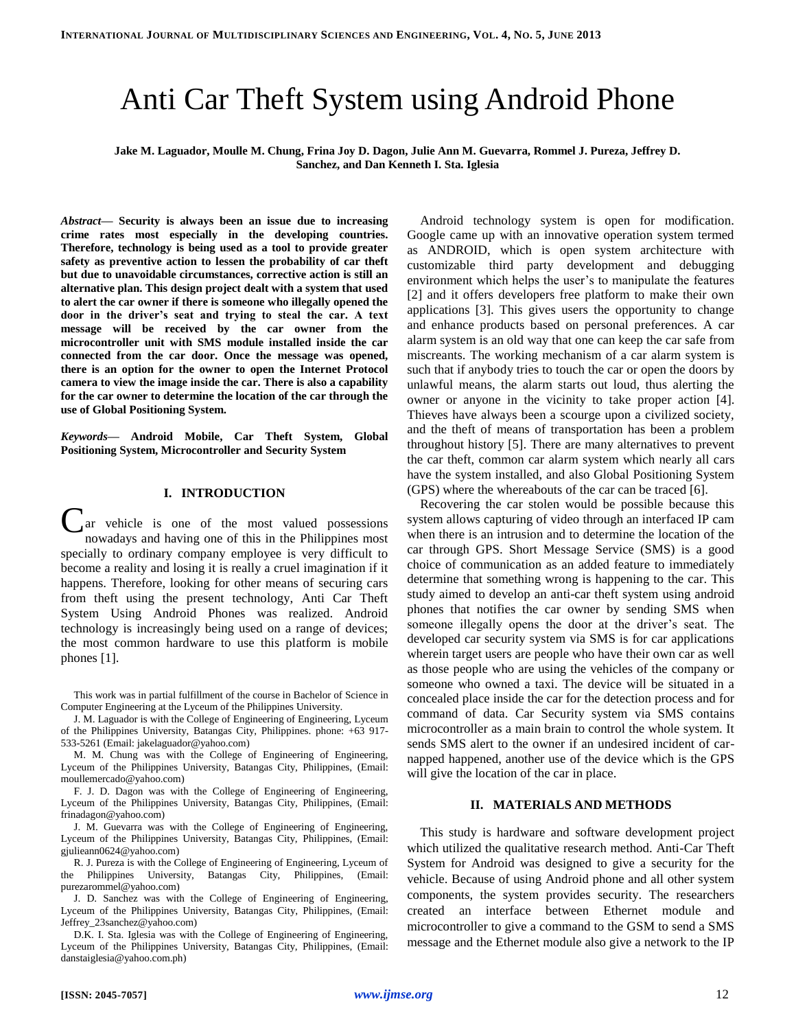# Anti Car Theft System using Android Phone

**Jake M. Laguador, Moulle M. Chung, Frina Joy D. Dagon, Julie Ann M. Guevarra, Rommel J. Pureza, Jeffrey D. Sanchez, and Dan Kenneth I. Sta. Iglesia**

*Abstract***— Security is always been an issue due to increasing crime rates most especially in the developing countries. Therefore, technology is being used as a tool to provide greater safety as preventive action to lessen the probability of car theft but due to unavoidable circumstances, corrective action is still an alternative plan. This design project dealt with a system that used to alert the car owner if there is someone who illegally opened the door in the driver's seat and trying to steal the car. A text message will be received by the car owner from the microcontroller unit with SMS module installed inside the car connected from the car door. Once the message was opened, there is an option for the owner to open the Internet Protocol camera to view the image inside the car. There is also a capability for the car owner to determine the location of the car through the use of Global Positioning System.**

*Keywords***— Android Mobile, Car Theft System, Global Positioning System, Microcontroller and Security System**

## **I. INTRODUCTION**

ar vehicle is one of the most valued possessions nowadays and having one of this in the Philippines most specially to ordinary company employee is very difficult to become a reality and losing it is really a cruel imagination if it happens. Therefore, looking for other means of securing cars from theft using the present technology, Anti Car Theft System Using Android Phones was realized. Android technology is increasingly being used on a range of devices; the most common hardware to use this platform is mobile phones [1]. C

This work was in partial fulfillment of the course in Bachelor of Science in Computer Engineering at the Lyceum of the Philippines University.

J. M. Laguador is with the College of Engineering of Engineering, Lyceum of the Philippines University, Batangas City, Philippines. phone: +63 917- 533-5261 (Email: jakelaguador@yahoo.com)

M. M. Chung was with the College of Engineering of Engineering, Lyceum of the Philippines University, Batangas City, Philippines, (Email: moullemercado@yahoo.com)

F. J. D. Dagon was with the College of Engineering of Engineering, Lyceum of the Philippines University, Batangas City, Philippines, (Email: frinadagon@yahoo.com)

J. M. Guevarra was with the College of Engineering of Engineering, Lyceum of the Philippines University, Batangas City, Philippines, (Email: gjulieann0624@yahoo.com)

R. J. Pureza is with the College of Engineering of Engineering, Lyceum of the Philippines University, Batangas City, Philippines, (Email: purezarommel@yahoo.com)

J. D. Sanchez was with the College of Engineering of Engineering, Lyceum of the Philippines University, Batangas City, Philippines, (Email: Jeffrey\_23sanchez@yahoo.com)

D.K. I. Sta. Iglesia was with the College of Engineering of Engineering, Lyceum of the Philippines University, Batangas City, Philippines, (Email: danstaiglesia@yahoo.com.ph)

Android technology system is open for modification. Google came up with an innovative operation system termed as ANDROID, which is open system architecture with customizable third party development and debugging environment which helps the user's to manipulate the features [2] and it offers developers free platform to make their own applications [3]. This gives users the opportunity to change and enhance products based on personal preferences. A car alarm system is an old way that one can keep the car safe from miscreants. The working mechanism of a car alarm system is such that if anybody tries to touch the car or open the doors by unlawful means, the alarm starts out loud, thus alerting the owner or anyone in the vicinity to take proper action [4]. Thieves have always been a scourge upon a civilized society, and the theft of means of transportation has been a problem throughout history [5]. There are many alternatives to prevent the car theft, common car alarm system which nearly all cars have the system installed, and also Global Positioning System (GPS) where the whereabouts of the car can be traced [6].

Recovering the car stolen would be possible because this system allows capturing of video through an interfaced IP cam when there is an intrusion and to determine the location of the car through GPS. Short Message Service (SMS) is a good choice of communication as an added feature to immediately determine that something wrong is happening to the car. This study aimed to develop an anti-car theft system using android phones that notifies the car owner by sending SMS when someone illegally opens the door at the driver's seat. The developed car security system via SMS is for car applications wherein target users are people who have their own car as well as those people who are using the vehicles of the company or someone who owned a taxi. The device will be situated in a concealed place inside the car for the detection process and for command of data. Car Security system via SMS contains microcontroller as a main brain to control the whole system. It sends SMS alert to the owner if an undesired incident of carnapped happened, another use of the device which is the GPS will give the location of the car in place.

## **II. MATERIALS AND METHODS**

This study is hardware and software development project which utilized the qualitative research method. Anti-Car Theft System for Android was designed to give a security for the vehicle. Because of using Android phone and all other system components, the system provides security. The researchers created an interface between Ethernet module and microcontroller to give a command to the GSM to send a SMS message and the Ethernet module also give a network to the IP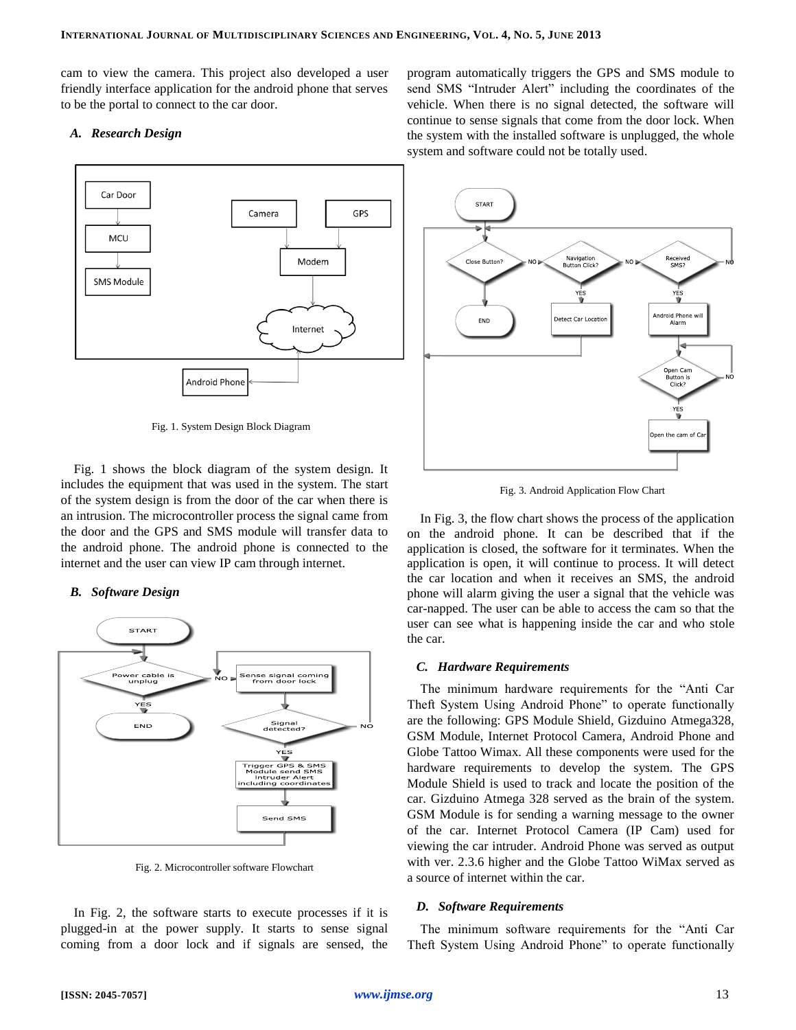cam to view the camera. This project also developed a user friendly interface application for the android phone that serves to be the portal to connect to the car door.

#### *A. Research Design*



Fig. 1. System Design Block Diagram

Fig. 1 shows the block diagram of the system design. It includes the equipment that was used in the system. The start of the system design is from the door of the car when there is an intrusion. The microcontroller process the signal came from the door and the GPS and SMS module will transfer data to the android phone. The android phone is connected to the internet and the user can view IP cam through internet.

#### *B. Software Design*



Fig. 2. Microcontroller software Flowchart

In Fig. 2, the software starts to execute processes if it is plugged-in at the power supply. It starts to sense signal coming from a door lock and if signals are sensed, the program automatically triggers the GPS and SMS module to send SMS "Intruder Alert" including the coordinates of the vehicle. When there is no signal detected, the software will continue to sense signals that come from the door lock. When the system with the installed software is unplugged, the whole system and software could not be totally used.



Fig. 3. Android Application Flow Chart

In Fig. 3, the flow chart shows the process of the application on the android phone. It can be described that if the application is closed, the software for it terminates. When the application is open, it will continue to process. It will detect the car location and when it receives an SMS, the android phone will alarm giving the user a signal that the vehicle was car-napped. The user can be able to access the cam so that the user can see what is happening inside the car and who stole the car.

## *C. Hardware Requirements*

The minimum hardware requirements for the "Anti Car Theft System Using Android Phone" to operate functionally are the following: GPS Module Shield, Gizduino Atmega328, GSM Module, Internet Protocol Camera, Android Phone and Globe Tattoo Wimax. All these components were used for the hardware requirements to develop the system. The GPS Module Shield is used to track and locate the position of the car. Gizduino Atmega 328 served as the brain of the system. GSM Module is for sending a warning message to the owner of the car. Internet Protocol Camera (IP Cam) used for viewing the car intruder. Android Phone was served as output with ver. 2.3.6 higher and the Globe Tattoo WiMax served as a source of internet within the car.

## *D. Software Requirements*

The minimum software requirements for the "Anti Car Theft System Using Android Phone" to operate functionally